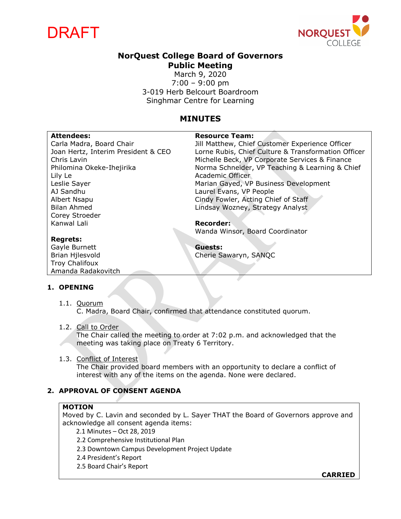



# **NorQuest College Board of Governors Public Meeting**

March 9, 2020 7:00 – 9:00 pm 3-019 Herb Belcourt Boardroom Singhmar Centre for Learning

## **MINUTES**

#### Attendees: **Attendees: Resource Team:** Carla Madra, Board Chair Joan Hertz, Interim President & CEO Chris Lavin Philomina Okeke-Ihejirika Lily Le Leslie Sayer AJ Sandhu Albert Nsapu Bilan Ahmed Corey Stroeder Kanwal Lali **Regrets:** Gayle Burnett Brian Hjlesvold Troy Chalifoux Amanda Radakovitch Jill Matthew, Chief Customer Experience Officer Lorne Rubis, Chief Culture & Transformation Officer Michelle Beck, VP Corporate Services & Finance Norma Schneider, VP Teaching & Learning & Chief Academic Officer Marian Gayed, VP Business Development Laurel Evans, VP People Cindy Fowler, Acting Chief of Staff Lindsay Wozney, Strategy Analyst **Recorder:** Wanda Winsor, Board Coordinator **Guests:** Cherie Sawaryn, SANQC

#### **1. OPENING**

1.1. Quorum C. Madra, Board Chair, confirmed that attendance constituted quorum.

#### 1.2. Call to Order

The Chair called the meeting to order at 7:02 p.m. and acknowledged that the meeting was taking place on Treaty 6 Territory.

#### 1.3. Conflict of Interest

The Chair provided board members with an opportunity to declare a conflict of interest with any of the items on the agenda. None were declared.

## **2. APPROVAL OF CONSENT AGENDA**

#### **MOTION**

Moved by C. Lavin and seconded by L. Sayer THAT the Board of Governors approve and acknowledge all consent agenda items:

2.1 Minutes – Oct 28, 2019

2.2 Comprehensive Institutional Plan

2.3 Downtown Campus Development Project Update

- 2.4 President's Report
- 2.5 Board Chair's Report

**CARRIED**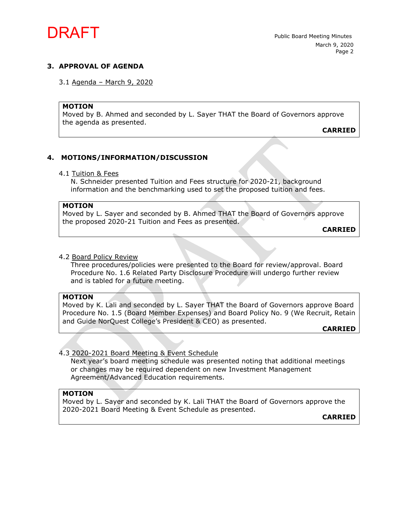

#### **3. APPROVAL OF AGENDA**

3.1 Agenda – March 9, 2020

#### **MOTION**

Moved by B. Ahmed and seconded by L. Sayer THAT the Board of Governors approve the agenda as presented.

**CARRIED**

#### **4. MOTIONS/INFORMATION/DISCUSSION**

#### 4.1 Tuition & Fees

N. Schneider presented Tuition and Fees structure for 2020-21, background information and the benchmarking used to set the proposed tuition and fees.

#### **MOTION**

Moved by L. Sayer and seconded by B. Ahmed THAT the Board of Governors approve the proposed 2020-21 Tuition and Fees as presented.

**CARRIED**

#### 4.2 Board Policy Review

Three procedures/policies were presented to the Board for review/approval. Board Procedure No. 1.6 Related Party Disclosure Procedure will undergo further review and is tabled for a future meeting.

#### **MOTION**

Moved by K. Lali and seconded by L. Sayer THAT the Board of Governors approve Board Procedure No. 1.5 (Board Member Expenses) and Board Policy No. 9 (We Recruit, Retain and Guide NorQuest College's President & CEO) as presented.

**CARRIED**

#### 4.3 2020-2021 Board Meeting & Event Schedule

Next year's board meeting schedule was presented noting that additional meetings or changes may be required dependent on new Investment Management Agreement/Advanced Education requirements.

### **MOTION**

Moved by L. Sayer and seconded by K. Lali THAT the Board of Governors approve the 2020-2021 Board Meeting & Event Schedule as presented.

**CARRIED**